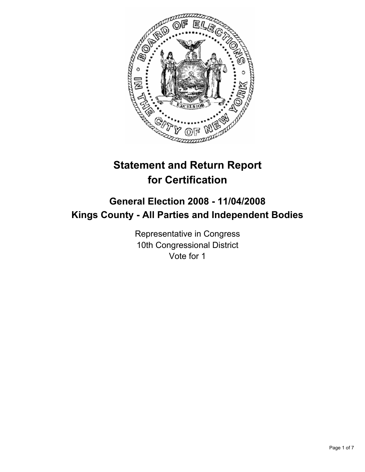

# **Statement and Return Report for Certification**

## **General Election 2008 - 11/04/2008 Kings County - All Parties and Independent Bodies**

Representative in Congress 10th Congressional District Vote for 1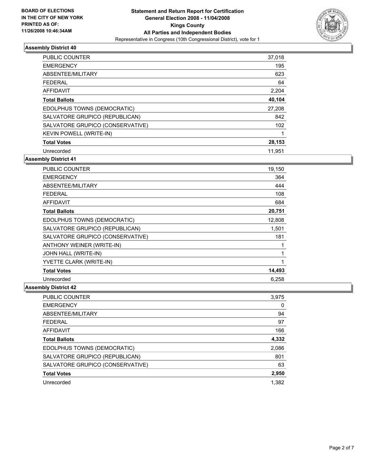

| PUBLIC COUNTER                   | 37,018 |
|----------------------------------|--------|
| <b>EMERGENCY</b>                 | 195    |
| ABSENTEE/MILITARY                | 623    |
| <b>FEDERAL</b>                   | 64     |
| <b>AFFIDAVIT</b>                 | 2,204  |
| <b>Total Ballots</b>             | 40,104 |
| EDOLPHUS TOWNS (DEMOCRATIC)      | 27,208 |
| SALVATORE GRUPICO (REPUBLICAN)   | 842    |
| SALVATORE GRUPICO (CONSERVATIVE) | 102    |
| <b>KEVIN POWELL (WRITE-IN)</b>   |        |
| <b>Total Votes</b>               | 28,153 |
| Unrecorded                       | 11.951 |

**Assembly District 41**

| <b>PUBLIC COUNTER</b>            | 19,150 |  |
|----------------------------------|--------|--|
| <b>EMERGENCY</b>                 | 364    |  |
| ABSENTEE/MILITARY                | 444    |  |
| <b>FEDERAL</b>                   | 108    |  |
| <b>AFFIDAVIT</b>                 | 684    |  |
| <b>Total Ballots</b>             | 20,751 |  |
| EDOLPHUS TOWNS (DEMOCRATIC)      | 12,808 |  |
| SALVATORE GRUPICO (REPUBLICAN)   | 1,501  |  |
| SALVATORE GRUPICO (CONSERVATIVE) | 181    |  |
| ANTHONY WEINER (WRITE-IN)        |        |  |
| <b>JOHN HALL (WRITE-IN)</b>      |        |  |
| YVETTE CLARK (WRITE-IN)          |        |  |
| <b>Total Votes</b>               | 14,493 |  |
| Unrecorded                       | 6,258  |  |

| <b>PUBLIC COUNTER</b>            | 3,975 |
|----------------------------------|-------|
| <b>EMERGENCY</b>                 | 0     |
| ABSENTEE/MILITARY                | 94    |
| FFDFRAL                          | 97    |
| <b>AFFIDAVIT</b>                 | 166   |
| <b>Total Ballots</b>             | 4,332 |
| EDOLPHUS TOWNS (DEMOCRATIC)      | 2,086 |
| SALVATORE GRUPICO (REPUBLICAN)   | 801   |
| SALVATORE GRUPICO (CONSERVATIVE) | 63    |
| <b>Total Votes</b>               | 2,950 |
| Unrecorded                       | 1.382 |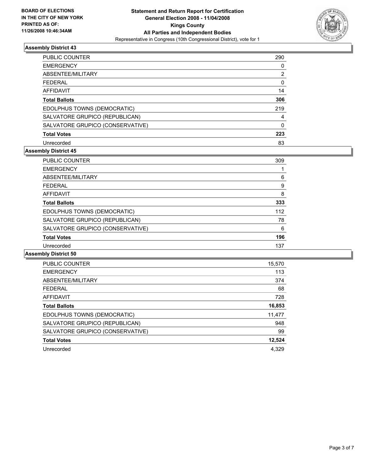

| <b>PUBLIC COUNTER</b>            | 290 |
|----------------------------------|-----|
| <b>EMERGENCY</b>                 |     |
| ABSENTEE/MILITARY                | 2   |
| <b>FEDERAL</b>                   | 0   |
| <b>AFFIDAVIT</b>                 | 14  |
| <b>Total Ballots</b>             | 306 |
| EDOLPHUS TOWNS (DEMOCRATIC)      | 219 |
| SALVATORE GRUPICO (REPUBLICAN)   |     |
| SALVATORE GRUPICO (CONSERVATIVE) |     |
| <b>Total Votes</b>               | 223 |
| Unrecorded                       | 83  |

#### **Assembly District 45**

| <b>PUBLIC COUNTER</b>            | 309 |  |
|----------------------------------|-----|--|
| <b>EMERGENCY</b>                 |     |  |
| ABSENTEE/MILITARY                | 6   |  |
| <b>FEDERAL</b>                   | 9   |  |
| <b>AFFIDAVIT</b>                 | 8   |  |
| <b>Total Ballots</b>             | 333 |  |
| EDOLPHUS TOWNS (DEMOCRATIC)      | 112 |  |
| SALVATORE GRUPICO (REPUBLICAN)   | 78  |  |
| SALVATORE GRUPICO (CONSERVATIVE) | 6   |  |
| <b>Total Votes</b>               | 196 |  |
| Unrecorded                       | 137 |  |

| <b>PUBLIC COUNTER</b>            | 15,570 |
|----------------------------------|--------|
| <b>EMERGENCY</b>                 | 113    |
| ABSENTEE/MILITARY                | 374    |
| <b>FEDERAL</b>                   | 68     |
| AFFIDAVIT                        | 728    |
| <b>Total Ballots</b>             | 16,853 |
| EDOLPHUS TOWNS (DEMOCRATIC)      | 11,477 |
| SALVATORE GRUPICO (REPUBLICAN)   | 948    |
| SALVATORE GRUPICO (CONSERVATIVE) | 99     |
| <b>Total Votes</b>               | 12,524 |
| Unrecorded                       | 4.329  |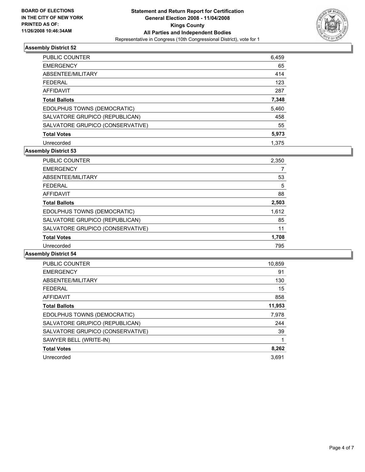

| PUBLIC COUNTER                   | 6,459 |
|----------------------------------|-------|
| <b>EMERGENCY</b>                 | 65    |
| ABSENTEE/MILITARY                | 414   |
| <b>FEDERAL</b>                   | 123   |
| AFFIDAVIT                        | 287   |
| <b>Total Ballots</b>             | 7,348 |
| EDOLPHUS TOWNS (DEMOCRATIC)      | 5,460 |
| SALVATORE GRUPICO (REPUBLICAN)   | 458   |
| SALVATORE GRUPICO (CONSERVATIVE) | 55    |
| <b>Total Votes</b>               | 5,973 |
| Unrecorded                       | 1.375 |

## **Assembly District 53**

| <b>PUBLIC COUNTER</b>            | 2,350 |  |
|----------------------------------|-------|--|
| <b>EMERGENCY</b>                 |       |  |
| ABSENTEE/MILITARY                | 53    |  |
| <b>FEDERAL</b>                   | 5     |  |
| AFFIDAVIT                        | 88    |  |
| <b>Total Ballots</b>             | 2,503 |  |
| EDOLPHUS TOWNS (DEMOCRATIC)      | 1,612 |  |
| SALVATORE GRUPICO (REPUBLICAN)   | 85    |  |
| SALVATORE GRUPICO (CONSERVATIVE) | 11    |  |
| <b>Total Votes</b>               | 1,708 |  |
| Unrecorded                       | 795   |  |

| <b>PUBLIC COUNTER</b>            | 10,859 |
|----------------------------------|--------|
| <b>EMERGENCY</b>                 | 91     |
| ABSENTEE/MILITARY                | 130    |
| <b>FEDERAL</b>                   | 15     |
| AFFIDAVIT                        | 858    |
| <b>Total Ballots</b>             | 11,953 |
| EDOLPHUS TOWNS (DEMOCRATIC)      | 7,978  |
| SALVATORE GRUPICO (REPUBLICAN)   | 244    |
| SALVATORE GRUPICO (CONSERVATIVE) | 39     |
| SAWYER BELL (WRITE-IN)           |        |
| <b>Total Votes</b>               | 8,262  |
| Unrecorded                       | 3.691  |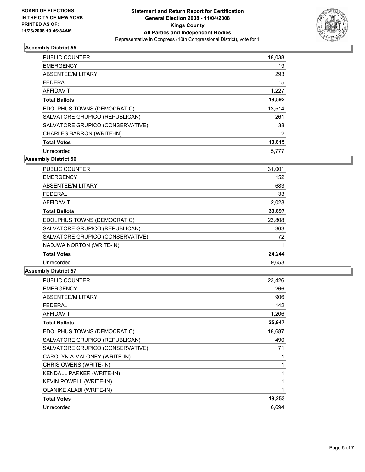

| PUBLIC COUNTER                   | 18,038 |
|----------------------------------|--------|
| <b>EMERGENCY</b>                 | 19     |
| ABSENTEE/MILITARY                | 293    |
| <b>FEDERAL</b>                   | 15     |
| <b>AFFIDAVIT</b>                 | 1,227  |
| <b>Total Ballots</b>             | 19,592 |
| EDOLPHUS TOWNS (DEMOCRATIC)      | 13,514 |
| SALVATORE GRUPICO (REPUBLICAN)   | 261    |
| SALVATORE GRUPICO (CONSERVATIVE) | 38     |
| CHARLES BARRON (WRITE-IN)        | 2      |
| <b>Total Votes</b>               | 13,815 |
| Unrecorded                       | 5,777  |

**Assembly District 56**

| PUBLIC COUNTER                   | 31,001 |
|----------------------------------|--------|
| <b>EMERGENCY</b>                 | 152    |
| ABSENTEE/MILITARY                | 683    |
| <b>FEDERAL</b>                   | 33     |
| <b>AFFIDAVIT</b>                 | 2,028  |
| <b>Total Ballots</b>             | 33,897 |
| EDOLPHUS TOWNS (DEMOCRATIC)      | 23,808 |
| SALVATORE GRUPICO (REPUBLICAN)   | 363    |
| SALVATORE GRUPICO (CONSERVATIVE) | 72     |
| NADJWA NORTON (WRITE-IN)         |        |
| <b>Total Votes</b>               | 24,244 |
| Unrecorded                       | 9,653  |

| <b>PUBLIC COUNTER</b>            | 23,426 |
|----------------------------------|--------|
| <b>EMERGENCY</b>                 | 266    |
| ABSENTEE/MILITARY                | 906    |
| <b>FEDERAL</b>                   | 142    |
| <b>AFFIDAVIT</b>                 | 1,206  |
| <b>Total Ballots</b>             | 25,947 |
| EDOLPHUS TOWNS (DEMOCRATIC)      | 18,687 |
| SALVATORE GRUPICO (REPUBLICAN)   | 490    |
| SALVATORE GRUPICO (CONSERVATIVE) | 71     |
| CAROLYN A MALONEY (WRITE-IN)     |        |
| CHRIS OWENS (WRITE-IN)           |        |
| KENDALL PARKER (WRITE-IN)        |        |
| KEVIN POWELL (WRITE-IN)          |        |
| <b>OLANIKE ALABI (WRITE-IN)</b>  |        |
| <b>Total Votes</b>               | 19,253 |
| Unrecorded                       | 6,694  |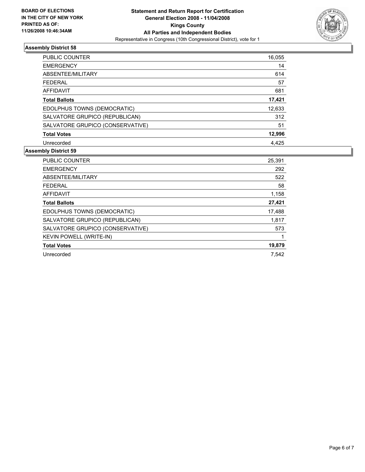

| <b>PUBLIC COUNTER</b>            | 16,055 |
|----------------------------------|--------|
| <b>EMERGENCY</b>                 | 14     |
| ABSENTEE/MILITARY                | 614    |
| <b>FEDERAL</b>                   | 57     |
| AFFIDAVIT                        | 681    |
| <b>Total Ballots</b>             | 17,421 |
| EDOLPHUS TOWNS (DEMOCRATIC)      | 12,633 |
| SALVATORE GRUPICO (REPUBLICAN)   | 312    |
| SALVATORE GRUPICO (CONSERVATIVE) | 51     |
| <b>Total Votes</b>               | 12,996 |
| Unrecorded                       | 4,425  |

| PUBLIC COUNTER                   | 25,391 |
|----------------------------------|--------|
| <b>EMERGENCY</b>                 | 292    |
| ABSENTEE/MILITARY                | 522    |
| FEDERAL                          | 58     |
| AFFIDAVIT                        | 1,158  |
| <b>Total Ballots</b>             | 27,421 |
| EDOLPHUS TOWNS (DEMOCRATIC)      | 17,488 |
| SALVATORE GRUPICO (REPUBLICAN)   | 1,817  |
| SALVATORE GRUPICO (CONSERVATIVE) | 573    |
| <b>KEVIN POWELL (WRITE-IN)</b>   |        |
| <b>Total Votes</b>               | 19,879 |
| Unrecorded                       | 7.542  |